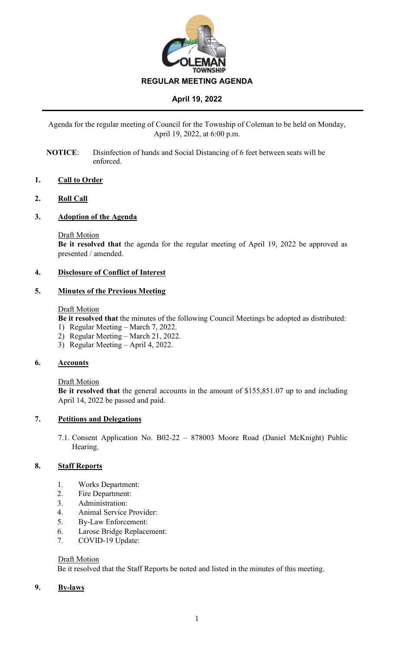

Agenda for the regular meeting of Council for the Township of Coleman to be held on Monday, April 19, 2022, at 6:00 p.m.

**NOTICE**: Disinfection of hands and Social Distancing of 6 feet between seats will be enforced.

### **1. Call to Order**

#### **2. Roll Call**

#### **3. Adoption of the Agenda**

#### Draft Motion

**Be it resolved that** the agenda for the regular meeting of April 19, 2022 be approved as presented / amended.

#### **4. Disclosure of Conflict of Interest**

#### **5. Minutes of the Previous Meeting**

#### Draft Motion

**Be it resolved that** the minutes of the following Council Meetings be adopted as distributed:

- 1) Regular Meeting March 7, 2022.
- 2) Regular Meeting March 21, 2022.
- 3) Regular Meeting April 4, 2022.

#### **6. Accounts**

#### Draft Motion

**Be it resolved that** the general accounts in the amount of \$155,851.07 up to and including April 14, 2022 be passed and paid.

### **7. Petitions and Delegations**

7.1. Consent Application No. B02-22 – 878003 Moore Road (Daniel McKnight) Public Hearing.

### **8. Staff Reports**

- 1. Works Department:
- 2. Fire Department:
- 3. Administration:
- 4. Animal Service Provider:
- 5. By-Law Enforcement:
- 6. Larose Bridge Replacement:
- 7. COVID-19 Update:

#### **Draft Motion**

Be it resolved that the Staff Reports be noted and listed in the minutes of this meeting.

### **9. By-laws**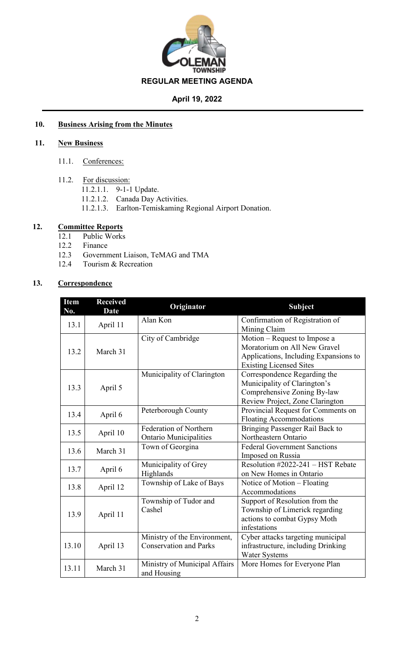

## **10. Business Arising from the Minutes**

### **11. New Business**

- 11.1. Conferences:
- 11.2. For discussion:
	- 11.2.1.1. 9-1-1 Update.
		- 11.2.1.2. Canada Day Activities.
	- 11.2.1.3. Earlton-Temiskaming Regional Airport Donation.

## **12. Committee Reports**

- 12.1 Public Works
- 12.2 Finance<br>12.3 Governn
- 12.3 Government Liaison, TeMAG and TMA
- 12.4 Tourism & Recreation

# **13. Correspondence**

| <b>Item</b><br>No. | <b>Received</b><br><b>Date</b> | Originator                                                    | <b>Subject</b>                                                                                                                          |  |  |
|--------------------|--------------------------------|---------------------------------------------------------------|-----------------------------------------------------------------------------------------------------------------------------------------|--|--|
| 13.1               | April 11                       | Alan Kon                                                      | Confirmation of Registration of<br>Mining Claim                                                                                         |  |  |
| 13.2               | March 31                       | City of Cambridge                                             | Motion - Request to Impose a<br>Moratorium on All New Gravel<br>Applications, Including Expansions to<br><b>Existing Licensed Sites</b> |  |  |
| 13.3               | April 5                        | Municipality of Clarington                                    | Correspondence Regarding the<br>Municipality of Clarington's<br>Comprehensive Zoning By-law<br>Review Project, Zone Clarington          |  |  |
| 13.4               | April 6                        | Peterborough County                                           | Provincial Request for Comments on<br><b>Floating Accommodations</b>                                                                    |  |  |
| 13.5               | April 10                       | Federation of Northern<br><b>Ontario Municipalities</b>       | Bringing Passenger Rail Back to<br>Northeastern Ontario                                                                                 |  |  |
| 13.6               | March 31                       | Town of Georgina                                              | <b>Federal Government Sanctions</b><br>Imposed on Russia                                                                                |  |  |
| 13.7               | April 6                        | Municipality of Grey<br>Highlands                             | Resolution #2022-241 – HST Rebate<br>on New Homes in Ontario                                                                            |  |  |
| 13.8               | April 12                       | Township of Lake of Bays                                      | Notice of Motion – Floating<br>Accommodations                                                                                           |  |  |
| 13.9               | April 11                       | Township of Tudor and<br>Cashel                               | Support of Resolution from the<br>Township of Limerick regarding<br>actions to combat Gypsy Moth<br>infestations                        |  |  |
| 13.10              | April 13                       | Ministry of the Environment,<br><b>Conservation and Parks</b> | Cyber attacks targeting municipal<br>infrastructure, including Drinking<br>Water Systems                                                |  |  |
| 13.11              | March 31                       | Ministry of Municipal Affairs<br>and Housing                  | More Homes for Everyone Plan                                                                                                            |  |  |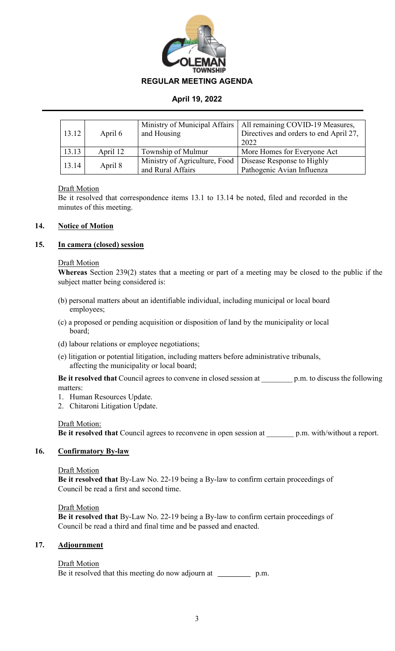

| 13.12 | April 6  | Ministry of Municipal Affairs<br>and Housing       | All remaining COVID-19 Measures,<br>Directives and orders to end April 27,<br>2022 |  |
|-------|----------|----------------------------------------------------|------------------------------------------------------------------------------------|--|
| 13.13 | April 12 | Township of Mulmur                                 | More Homes for Everyone Act                                                        |  |
| 13.14 | April 8  | Ministry of Agriculture, Food<br>and Rural Affairs | Disease Response to Highly<br>Pathogenic Avian Influenza                           |  |

### Draft Motion

Be it resolved that correspondence items 13.1 to 13.14 be noted, filed and recorded in the minutes of this meeting.

### **14. Notice of Motion**

### **15. In camera (closed) session**

#### Draft Motion

**Whereas** Section 239(2) states that a meeting or part of a meeting may be closed to the public if the subject matter being considered is:

- (b) personal matters about an identifiable individual, including municipal or local board employees;
- (c) a proposed or pending acquisition or disposition of land by the municipality or local board;
- (d) labour relations or employee negotiations;
- (e) litigation or potential litigation, including matters before administrative tribunals, affecting the municipality or local board;

**Be it resolved that** Council agrees to convene in closed session at \_\_\_\_\_\_\_\_ p.m. to discuss the following matters:

- 1. Human Resources Update.
- 2. Chitaroni Litigation Update.

### Draft Motion:

**Be it resolved that** Council agrees to reconvene in open session at p.m. with/without a report.

## **16. Confirmatory By-law**

### Draft Motion

**Be it resolved that** By-Law No. 22-19 being a By-law to confirm certain proceedings of Council be read a first and second time.

### Draft Motion

**Be it resolved that** By-Law No. 22-19 being a By-law to confirm certain proceedings of Council be read a third and final time and be passed and enacted.

### **17. Adjournment**

## Draft Motion

Be it resolved that this meeting do now adjourn at \_\_\_\_\_\_\_\_\_\_\_\_ p.m.